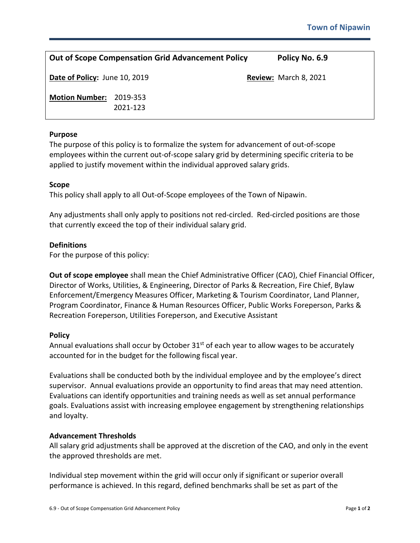| <b>Out of Scope Compensation Grid Advancement Policy</b> |                      |  | Policy No. 6.9               |
|----------------------------------------------------------|----------------------|--|------------------------------|
| Date of Policy: June 10, 2019                            |                      |  | <b>Review: March 8, 2021</b> |
| <b>Motion Number:</b>                                    | 2019-353<br>2021-123 |  |                              |

# **Purpose**

The purpose of this policy is to formalize the system for advancement of out-of-scope employees within the current out-of-scope salary grid by determining specific criteria to be applied to justify movement within the individual approved salary grids.

## **Scope**

This policy shall apply to all Out-of-Scope employees of the Town of Nipawin.

Any adjustments shall only apply to positions not red-circled. Red-circled positions are those that currently exceed the top of their individual salary grid.

# **Definitions**

For the purpose of this policy:

**Out of scope employee** shall mean the Chief Administrative Officer (CAO), Chief Financial Officer, Director of Works, Utilities, & Engineering, Director of Parks & Recreation, Fire Chief, Bylaw Enforcement/Emergency Measures Officer, Marketing & Tourism Coordinator, Land Planner, Program Coordinator, Finance & Human Resources Officer, Public Works Foreperson, Parks & Recreation Foreperson, Utilities Foreperson, and Executive Assistant

## **Policy**

Annual evaluations shall occur by October  $31<sup>st</sup>$  of each year to allow wages to be accurately accounted for in the budget for the following fiscal year.

Evaluations shall be conducted both by the individual employee and by the employee's direct supervisor. Annual evaluations provide an opportunity to find areas that may need attention. Evaluations can identify opportunities and training needs as well as set annual performance goals. Evaluations assist with increasing employee engagement by strengthening relationships and loyalty.

## **Advancement Thresholds**

All salary grid adjustments shall be approved at the discretion of the CAO, and only in the event the approved thresholds are met.

Individual step movement within the grid will occur only if significant or superior overall performance is achieved. In this regard, defined benchmarks shall be set as part of the